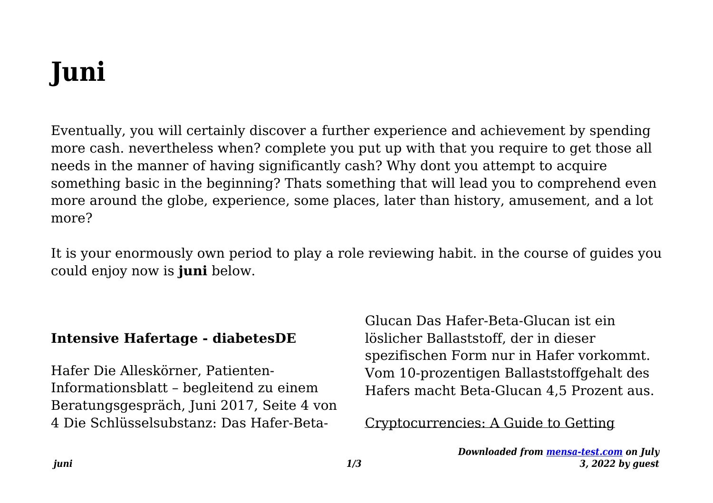# **Juni**

Eventually, you will certainly discover a further experience and achievement by spending more cash. nevertheless when? complete you put up with that you require to get those all needs in the manner of having significantly cash? Why dont you attempt to acquire something basic in the beginning? Thats something that will lead you to comprehend even more around the globe, experience, some places, later than history, amusement, and a lot more?

It is your enormously own period to play a role reviewing habit. in the course of guides you could enjoy now is **juni** below.

## **Intensive Hafertage - diabetesDE**

Hafer Die Alleskörner, Patienten-Informationsblatt – begleitend zu einem Beratungsgespräch, Juni 2017, Seite 4 von 4 Die Schlüsselsubstanz: Das Hafer-BetaGlucan Das Hafer-Beta-Glucan ist ein löslicher Ballaststoff, der in dieser spezifischen Form nur in Hafer vorkommt. Vom 10-prozentigen Ballaststoffgehalt des Hafers macht Beta-Glucan 4,5 Prozent aus.

Cryptocurrencies: A Guide to Getting

*Downloaded from [mensa-test.com](https://mensa-test.com) on July 3, 2022 by guest*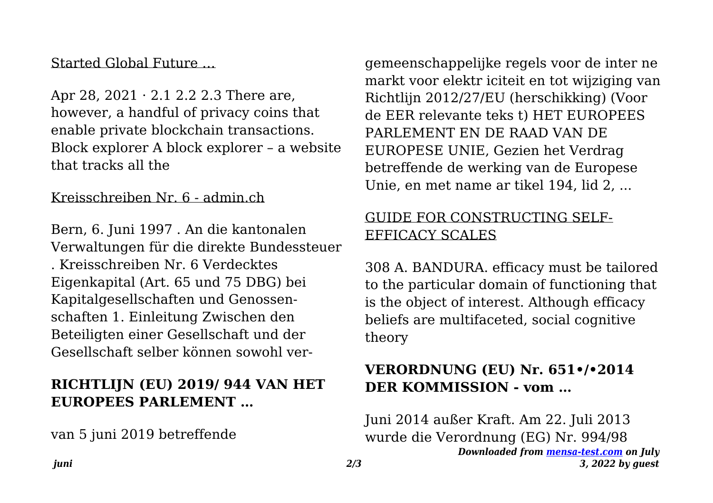## Started Global Future …

Apr 28, 2021 · 2.1 2.2 2.3 There are, however, a handful of privacy coins that enable private blockchain transactions. Block explorer A block explorer – a website that tracks all the

#### Kreisschreiben Nr. 6 - admin.ch

Bern, 6. Juni 1997 . An die kantonalen Verwaltungen für die direkte Bundessteuer . Kreisschreiben Nr. 6 Verdecktes Eigenkapital (Art. 65 und 75 DBG) bei Kapitalgesellschaften und Genossenschaften 1. Einleitung Zwischen den Beteiligten einer Gesellschaft und der Gesellschaft selber können sowohl ver-

# **RICHTLIJN (EU) 2019/ 944 VAN HET EUROPEES PARLEMENT …**

van 5 juni 2019 betreffende

gemeenschappelijke regels voor de inter ne markt voor elektr iciteit en tot wijziging van Richtlijn 2012/27/EU (herschikking) (Voor de EER relevante teks t) HET EUROPEES PARLEMENT EN DE RAAD VAN DE EUROPESE UNIE, Gezien het Verdrag betreffende de werking van de Europese Unie, en met name ar tikel 194, lid 2, ...

## GUIDE FOR CONSTRUCTING SELF-EFFICACY SCALES

308 A. BANDURA. efficacy must be tailored to the particular domain of functioning that is the object of interest. Although efficacy beliefs are multifaceted, social cognitive theory

## **VERORDNUNG (EU) Nr. 651•/•2014 DER KOMMISSION - vom …**

*Downloaded from [mensa-test.com](https://mensa-test.com) on July 3, 2022 by guest* Juni 2014 außer Kraft. Am 22. Juli 2013 wurde die Verordnung (EG) Nr. 994/98